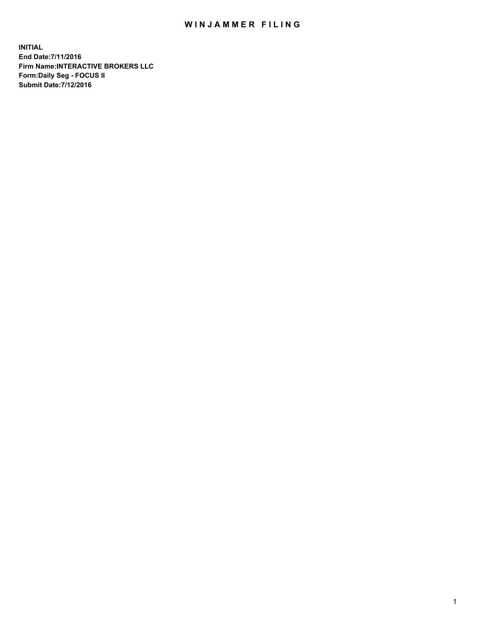## WIN JAMMER FILING

**INITIAL End Date:7/11/2016 Firm Name:INTERACTIVE BROKERS LLC Form:Daily Seg - FOCUS II Submit Date:7/12/2016**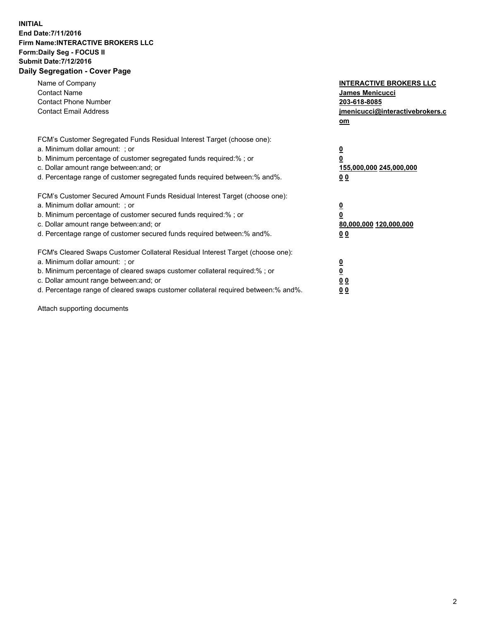## **INITIAL End Date:7/11/2016 Firm Name:INTERACTIVE BROKERS LLC Form:Daily Seg - FOCUS II Submit Date:7/12/2016 Daily Segregation - Cover Page**

| Name of Company<br><b>Contact Name</b><br><b>Contact Phone Number</b><br><b>Contact Email Address</b>                                                                                                                                                                                                                          | <b>INTERACTIVE BROKERS LLC</b><br>James Menicucci<br>203-618-8085<br>jmenicucci@interactivebrokers.c<br>om |
|--------------------------------------------------------------------------------------------------------------------------------------------------------------------------------------------------------------------------------------------------------------------------------------------------------------------------------|------------------------------------------------------------------------------------------------------------|
| FCM's Customer Segregated Funds Residual Interest Target (choose one):<br>a. Minimum dollar amount: ; or<br>b. Minimum percentage of customer segregated funds required:%; or<br>c. Dollar amount range between: and; or<br>d. Percentage range of customer segregated funds required between:% and%.                          | $\overline{\mathbf{0}}$<br>0<br>155,000,000 245,000,000<br>0 <sub>0</sub>                                  |
| FCM's Customer Secured Amount Funds Residual Interest Target (choose one):<br>a. Minimum dollar amount: ; or<br>b. Minimum percentage of customer secured funds required:%; or<br>c. Dollar amount range between: and; or<br>d. Percentage range of customer secured funds required between:% and%.                            | $\overline{\mathbf{0}}$<br>$\overline{\mathbf{0}}$<br>80,000,000 120,000,000<br>00                         |
| FCM's Cleared Swaps Customer Collateral Residual Interest Target (choose one):<br>a. Minimum dollar amount: ; or<br>b. Minimum percentage of cleared swaps customer collateral required:% ; or<br>c. Dollar amount range between: and; or<br>d. Percentage range of cleared swaps customer collateral required between:% and%. | $\overline{\mathbf{0}}$<br>$\overline{\mathbf{0}}$<br>0 <sub>0</sub><br><u>00</u>                          |

Attach supporting documents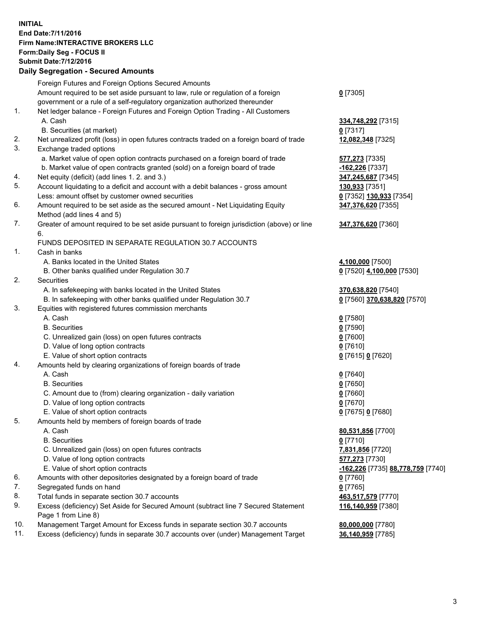## **INITIAL End Date:7/11/2016 Firm Name:INTERACTIVE BROKERS LLC Form:Daily Seg - FOCUS II Submit Date:7/12/2016 Daily Segregation - Secured Amounts**

|     | Daily Ocglegation - Occarea Anioants                                                        |                                   |
|-----|---------------------------------------------------------------------------------------------|-----------------------------------|
|     | Foreign Futures and Foreign Options Secured Amounts                                         |                                   |
|     | Amount required to be set aside pursuant to law, rule or regulation of a foreign            | $0$ [7305]                        |
|     | government or a rule of a self-regulatory organization authorized thereunder                |                                   |
| 1.  | Net ledger balance - Foreign Futures and Foreign Option Trading - All Customers             |                                   |
|     | A. Cash                                                                                     | 334,748,292 [7315]                |
|     | B. Securities (at market)                                                                   | $0$ [7317]                        |
| 2.  | Net unrealized profit (loss) in open futures contracts traded on a foreign board of trade   | 12,082,348 [7325]                 |
| 3.  | Exchange traded options                                                                     |                                   |
|     | a. Market value of open option contracts purchased on a foreign board of trade              | 577,273 [7335]                    |
|     | b. Market value of open contracts granted (sold) on a foreign board of trade                | -162,226 [7337]                   |
| 4.  | Net equity (deficit) (add lines 1. 2. and 3.)                                               | 347,245,687 [7345]                |
| 5.  | Account liquidating to a deficit and account with a debit balances - gross amount           | 130,933 [7351]                    |
|     | Less: amount offset by customer owned securities                                            | 0 [7352] 130,933 [7354]           |
| 6.  | Amount required to be set aside as the secured amount - Net Liquidating Equity              | 347,376,620 [7355]                |
|     | Method (add lines 4 and 5)                                                                  |                                   |
| 7.  | Greater of amount required to be set aside pursuant to foreign jurisdiction (above) or line | 347,376,620 [7360]                |
|     | 6.                                                                                          |                                   |
|     | FUNDS DEPOSITED IN SEPARATE REGULATION 30.7 ACCOUNTS                                        |                                   |
| 1.  | Cash in banks                                                                               |                                   |
|     | A. Banks located in the United States                                                       | 4,100,000 [7500]                  |
|     | B. Other banks qualified under Regulation 30.7                                              | 0 [7520] 4,100,000 [7530]         |
| 2.  | Securities                                                                                  |                                   |
|     | A. In safekeeping with banks located in the United States                                   | 370,638,820 [7540]                |
|     | B. In safekeeping with other banks qualified under Regulation 30.7                          | 0 [7560] 370,638,820 [7570]       |
| 3.  | Equities with registered futures commission merchants                                       |                                   |
|     | A. Cash                                                                                     | $0$ [7580]                        |
|     | <b>B.</b> Securities                                                                        | $0$ [7590]                        |
|     | C. Unrealized gain (loss) on open futures contracts                                         | $0$ [7600]                        |
|     | D. Value of long option contracts                                                           | $0$ [7610]                        |
|     | E. Value of short option contracts                                                          | 0 [7615] 0 [7620]                 |
| 4.  | Amounts held by clearing organizations of foreign boards of trade                           |                                   |
|     | A. Cash                                                                                     | $0$ [7640]                        |
|     | <b>B.</b> Securities                                                                        | $0$ [7650]                        |
|     | C. Amount due to (from) clearing organization - daily variation                             | $0$ [7660]                        |
|     | D. Value of long option contracts                                                           | $0$ [7670]                        |
|     | E. Value of short option contracts                                                          | 0 [7675] 0 [7680]                 |
| 5.  | Amounts held by members of foreign boards of trade                                          |                                   |
|     | A. Cash                                                                                     | 80,531,856 [7700]                 |
|     | <b>B.</b> Securities                                                                        | $0$ [7710]                        |
|     | C. Unrealized gain (loss) on open futures contracts                                         | 7,831,856 [7720]                  |
|     | D. Value of long option contracts                                                           | 577,273 [7730]                    |
|     | E. Value of short option contracts                                                          | -162,226 [7735] 88,778,759 [7740] |
| 6.  | Amounts with other depositories designated by a foreign board of trade                      | 0 [7760]                          |
| 7.  | Segregated funds on hand                                                                    | $0$ [7765]                        |
| 8.  | Total funds in separate section 30.7 accounts                                               | 463,517,579 [7770]                |
| 9.  | Excess (deficiency) Set Aside for Secured Amount (subtract line 7 Secured Statement         | 116,140,959 [7380]                |
|     | Page 1 from Line 8)                                                                         |                                   |
| 10. | Management Target Amount for Excess funds in separate section 30.7 accounts                 | 80,000,000 [7780]                 |
| 11. | Excess (deficiency) funds in separate 30.7 accounts over (under) Management Target          | 36,140,959 [7785]                 |
|     |                                                                                             |                                   |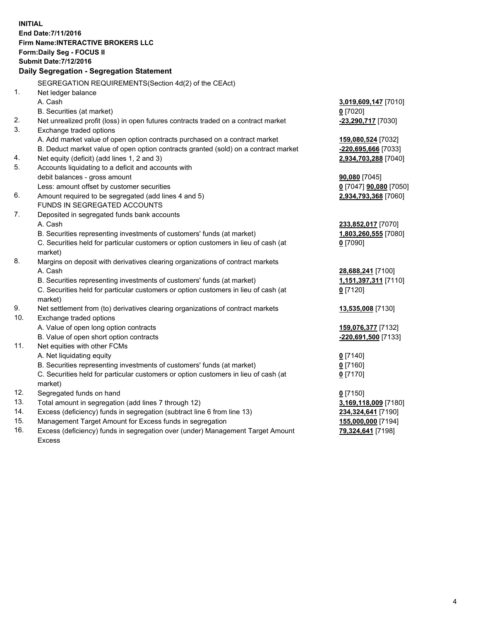**INITIAL End Date:7/11/2016 Firm Name:INTERACTIVE BROKERS LLC Form:Daily Seg - FOCUS II Submit Date:7/12/2016 Daily Segregation - Segregation Statement** SEGREGATION REQUIREMENTS(Section 4d(2) of the CEAct) 1. Net ledger balance A. Cash **3,019,609,147** [7010] B. Securities (at market) **0** [7020] 2. Net unrealized profit (loss) in open futures contracts traded on a contract market **-23,290,717** [7030] 3. Exchange traded options A. Add market value of open option contracts purchased on a contract market **159,080,524** [7032] B. Deduct market value of open option contracts granted (sold) on a contract market **-220,695,666** [7033] 4. Net equity (deficit) (add lines 1, 2 and 3) **2,934,703,288** [7040] 5. Accounts liquidating to a deficit and accounts with debit balances - gross amount **90,080** [7045] Less: amount offset by customer securities **0** [7047] **90,080** [7050] 6. Amount required to be segregated (add lines 4 and 5) **2,934,793,368** [7060] FUNDS IN SEGREGATED ACCOUNTS 7. Deposited in segregated funds bank accounts A. Cash **233,852,017** [7070] B. Securities representing investments of customers' funds (at market) **1,803,260,555** [7080] C. Securities held for particular customers or option customers in lieu of cash (at market) **0** [7090] 8. Margins on deposit with derivatives clearing organizations of contract markets A. Cash **28,688,241** [7100] B. Securities representing investments of customers' funds (at market) **1,151,397,311** [7110] C. Securities held for particular customers or option customers in lieu of cash (at market) **0** [7120] 9. Net settlement from (to) derivatives clearing organizations of contract markets **13,535,008** [7130] 10. Exchange traded options A. Value of open long option contracts **159,076,377** [7132] B. Value of open short option contracts **-220,691,500** [7133] 11. Net equities with other FCMs A. Net liquidating equity **0** [7140] B. Securities representing investments of customers' funds (at market) **0** [7160] C. Securities held for particular customers or option customers in lieu of cash (at market) **0** [7170] 12. Segregated funds on hand **0** [7150] 13. Total amount in segregation (add lines 7 through 12) **3,169,118,009** [7180] 14. Excess (deficiency) funds in segregation (subtract line 6 from line 13) **234,324,641** [7190] 15. Management Target Amount for Excess funds in segregation **155,000,000** [7194] **79,324,641** [7198]

16. Excess (deficiency) funds in segregation over (under) Management Target Amount Excess